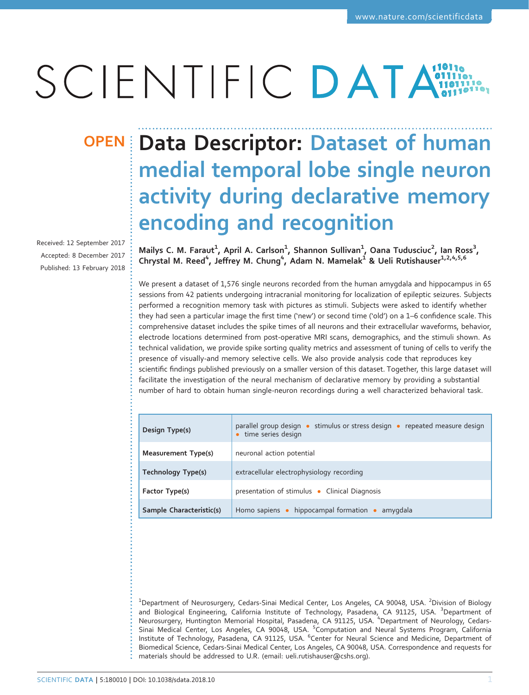# SCIENTIFIC DATA

Received: 12 September 2017 Accepted: 8 December 2017 Published: 13 February 2018

## OPEN Data Descriptor: Dataset of human medial temporal lobe single neuron activity during declarative memory encoding and recognition

Mailys C. M. Faraut $^1$ , April A. Carlson $^1$ , Shannon Sullivan $^1$ , Oana Tudusciuc $^2$ , Ian Ross $^3$ , Chrystal M. Reed<sup>4</sup>, Jeffrey M. Chung<sup>4</sup>, Adam N. Mamelak<sup>1</sup> & Ueli Rutishauser<sup>1,2,4,5,6</sup>

We present a dataset of 1,576 single neurons recorded from the human amygdala and hippocampus in 65 sessions from 42 patients undergoing intracranial monitoring for localization of epileptic seizures. Subjects performed a recognition memory task with pictures as stimuli. Subjects were asked to identify whether they had seen a particular image the first time ('new') or second time ('old') on a 1–6 confidence scale. This comprehensive dataset includes the spike times of all neurons and their extracellular waveforms, behavior, electrode locations determined from post-operative MRI scans, demographics, and the stimuli shown. As technical validation, we provide spike sorting quality metrics and assessment of tuning of cells to verify the presence of visually-and memory selective cells. We also provide analysis code that reproduces key scientific findings published previously on a smaller version of this dataset. Together, this large dataset will facilitate the investigation of the neural mechanism of declarative memory by providing a substantial number of hard to obtain human single-neuron recordings during a well characterized behavioral task.

| Design Type(s)           | parallel group design • stimulus or stress design • repeated measure design<br>• time series design |
|--------------------------|-----------------------------------------------------------------------------------------------------|
| Measurement Type(s)      | neuronal action potential                                                                           |
| Technology Type(s)       | extracellular electrophysiology recording                                                           |
| Factor Type(s)           | presentation of stimulus • Clinical Diagnosis                                                       |
| Sample Characteristic(s) | Homo sapiens $\bullet$ hippocampal formation $\bullet$<br>amygdala                                  |

 $^{\rm 1}$ Department of Neurosurgery, Cedars-Sinai Medical Center, Los Angeles, CA 90048, USA.  $^{\rm 2}$ Division of Biology and Biological Engineering, California Institute of Technology, Pasadena, CA 91125, USA. <sup>3</sup>Department of<br>Neurosurgery, Huntington Memorial Hospital, Pasadena, CA 91125, USA. <sup>4</sup>Department of Neurology, Cedars-Sinai Medical Center, Los Angeles, CA 90048, USA. <sup>5</sup>Computation and Neural Systems Program, California Institute of Technology, Pasadena, CA 91125, USA. <sup>6</sup>Center for Neural Science and Medicine, Department of Biomedical Science, Cedars-Sinai Medical Center, Los Angeles, CA 90048, USA. Correspondence and requests for materials should be addressed to U.R. (email: [ueli.rutishauser@cshs.org](mailto:ueli.rutishauser@cshs.org)).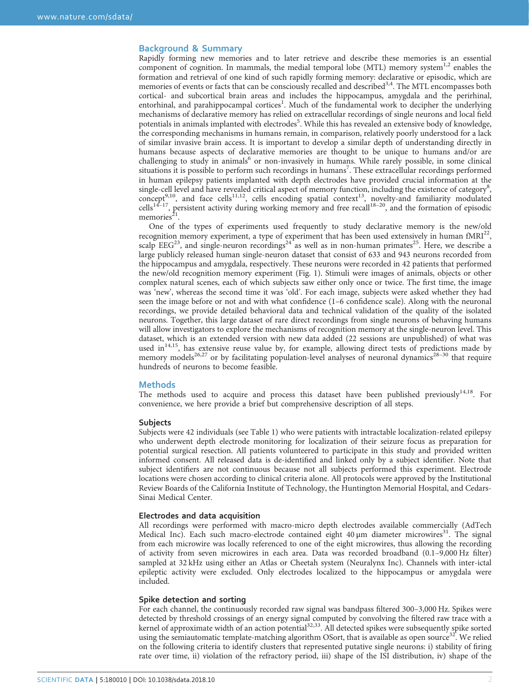### Background & Summary

Rapidly forming new memories and to later retrieve and describe these memories is an essential component of cognition. In mammals, the medial temporal lobe (MTL) memory system<sup>[1](#page-9-0),[2](#page-9-0)</sup> enables the formation and retrieval of one kind of such rapidly forming memory: declarative or episodic, which are memories of events or facts that can be consciously recalled and described<sup>[3](#page-9-0),[4](#page-9-0)</sup>. The MTL encompasses both cortical- and subcortical brain areas and includes the hippocampus, amygdala and the perirhinal, entorhinal, and parahippocampal cortices<sup>[1](#page-9-0)</sup>. Much of the fundamental work to decipher the underlying mechanisms of declarative memory has relied on extracellular recordings of single neurons and local field potentials in animals implanted with electrodes<sup>[5](#page-9-0)</sup>. While this has revealed an extensive body of knowledge, the corresponding mechanisms in humans remain, in comparison, relatively poorly understood for a lack of similar invasive brain access. It is important to develop a similar depth of understanding directly in humans because aspects of declarative memories are thought to be unique to humans and/or are challenging to study in animals<sup>[6](#page-9-0)</sup> or non-invasively in humans. While rarely possible, in some clinical situations it is possible to perform such recordings in humans<sup>[7](#page-9-0)</sup>. These extracellular recordings performed in human epilepsy patients implanted with depth electrodes have provided crucial information at the single-cell level and have revealed critical aspect of memory function, including the existence of category<sup>[8](#page-9-0)</sup>, concept<sup>[9](#page-9-0),[10](#page-9-0)</sup>, and face cells<sup>11,12</sup>, cells encoding spatial context<sup>13</sup>, [nove](#page-9-0)lty-and familiarity modulated  $\text{cells}^{14-17}$ , persistent activity during working memory and free recall<sup>18–20</sup>, and the formation of episodic memories $2<sup>1</sup>$ .

One of the types of experiments used frequently to study declarative memory is the new/old recognition memory experiment, a type of experiment that has been used extensively in human  $fMRI^{22}$  $fMRI^{22}$  $fMRI^{22}$ , scalp  $EEG<sup>23</sup>$ , and single-neuron recordings<sup>24</sup> as well as in non-human primates<sup>25</sup>. Here, we describe a large publicly released human single-neuron dataset that consist of 633 and 943 neurons recorded from the hippocampus and amygdala, respectively. These neurons were recorded in 42 patients that performed the new/old recognition memory experiment [\(Fig. 1\)](#page-2-0). Stimuli were images of animals, objects or other complex natural scenes, each of which subjects saw either only once or twice. The first time, the image was 'new', whereas the second time it was 'old'. For each image, subjects were asked whether they had seen the image before or not and with what confidence (1–6 confidence scale). Along with the neuronal recordings, we provide detailed behavioral data and technical validation of the quality of the isolated neurons. Together, this large dataset of rare direct recordings from single neurons of behaving humans will allow investigators to explore the mechanisms of recognition memory at the single-neuron level. This dataset, which is an extended version with new data added (22 sessions are unpublished) of what was used in<sup>[14](#page-9-0),[15](#page-9-0)</sup>, has extensive reuse value by, for example, allowing direct tests of pre[dictio](#page-9-0)ns made by memory models<sup>[26](#page-9-0),[27](#page-9-0)</sup> or by facilitating population-level analyses of neuronal dynamics<sup>28–30</sup> that require hundreds of neurons to become feasible.

#### **Methods**

The methods used to acquire and process this dataset have been published previously $14,18$  $14,18$ . For convenience, we here provide a brief but comprehensive description of all steps.

#### Subjects

Subjects were 42 individuals (see [Table 1](#page-3-0)) who were patients with intractable localization-related epilepsy who underwent depth electrode monitoring for localization of their seizure focus as preparation for potential surgical resection. All patients volunteered to participate in this study and provided written informed consent. All released data is de-identified and linked only by a subject identifier. Note that subject identifiers are not continuous because not all subjects performed this experiment. Electrode locations were chosen according to clinical criteria alone. All protocols were approved by the Institutional Review Boards of the California Institute of Technology, the Huntington Memorial Hospital, and Cedars-Sinai Medical Center.

#### Electrodes and data acquisition

All recordings were performed with macro-micro depth electrodes available commercially (AdTech Medical Inc). Each such macro-electrode contained eight  $40 \mu m$  diameter microwires<sup>31</sup>. The signal from each microwire was locally referenced to one of the eight microwires, thus allowing the recording of activity from seven microwires in each area. Data was recorded broadband (0.1–9,000 Hz filter) sampled at 32 kHz using either an Atlas or Cheetah system (Neuralynx Inc). Channels with inter-ictal epileptic activity were excluded. Only electrodes localized to the hippocampus or amygdala were included.

#### Spike detection and sorting

For each channel, the continuously recorded raw signal was bandpass filtered 300–3,000 Hz. Spikes were detected by threshold crossings of an energy signal computed by convolving the filtered raw trace with a kernel of approximate width of an action potential[32,33.](#page-10-0) All detected spikes were subsequently spike sorted using the semiautomatic template-matching algorithm OSort, that is available as open source<sup>32</sup>. We relied on the following criteria to identify clusters that represented putative single neurons: i) stability of firing rate over time, ii) violation of the refractory period, iii) shape of the ISI distribution, iv) shape of the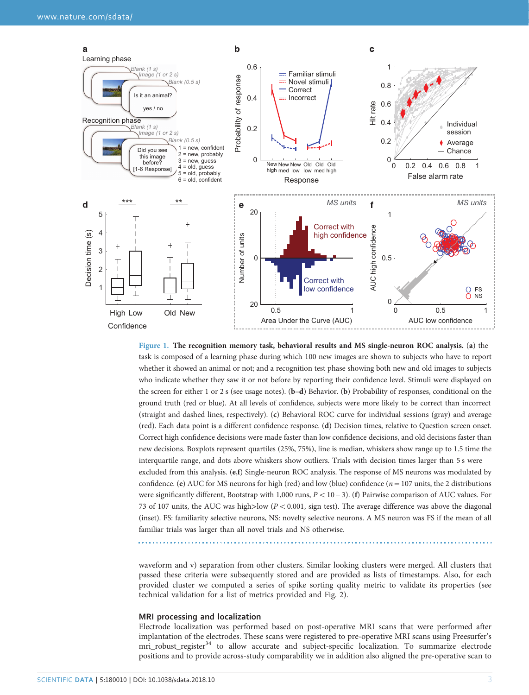<span id="page-2-0"></span>

Figure 1. The recognition memory task, behavioral results and MS single-neuron ROC analysis. (a) the task is composed of a learning phase during which 100 new images are shown to subjects who have to report whether it showed an animal or not; and a recognition test phase showing both new and old images to subjects who indicate whether they saw it or not before by reporting their confidence level. Stimuli were displayed on the screen for either 1 or 2 s (see usage notes). (b-d) Behavior. (b) Probability of responses, conditional on the ground truth (red or blue). At all levels of confidence, subjects were more likely to be correct than incorrect (straight and dashed lines, respectively). (c) Behavioral ROC curve for individual sessions (gray) and average (red). Each data point is a different confidence response. (d) Decision times, relative to Question screen onset. Correct high confidence decisions were made faster than low confidence decisions, and old decisions faster than new decisions. Boxplots represent quartiles (25%, 75%), line is median, whiskers show range up to 1.5 time the interquartile range, and dots above whiskers show outliers. Trials with decision times larger than 5 s were excluded from this analysis. (e,f) Single-neuron ROC analysis. The response of MS neurons was modulated by confidence. (e) AUC for MS neurons for high (red) and low (blue) confidence ( $n = 107$  units, the 2 distributions were significantly different, Bootstrap with 1,000 runs,  $P < 10 - 3$ ). (f) Pairwise comparison of AUC values. For 73 of 107 units, the AUC was high>low ( $P < 0.001$ , sign test). The average difference was above the diagonal (inset). FS: familiarity selective neurons, NS: novelty selective neurons. A MS neuron was FS if the mean of all familiar trials was larger than all novel trials and NS otherwise.

waveform and v) separation from other clusters. Similar looking clusters were merged. All clusters that passed these criteria were subsequently stored and are provided as lists of timestamps. Also, for each provided cluster we computed a series of spike sorting quality metric to validate its properties (see technical validation for a list of metrics provided and [Fig. 2\)](#page-4-0).

#### MRI processing and localization

Electrode localization was performed based on post-operative MRI scans that were performed after implantation of the electrodes. These scans were registered to pre-operative MRI scans using Freesurfer's mri\_robust\_register<sup>[34](#page-10-0)</sup> to allow accurate and subject-specific localization. To summarize electrode positions and to provide across-study comparability we in addition also aligned the pre-operative scan to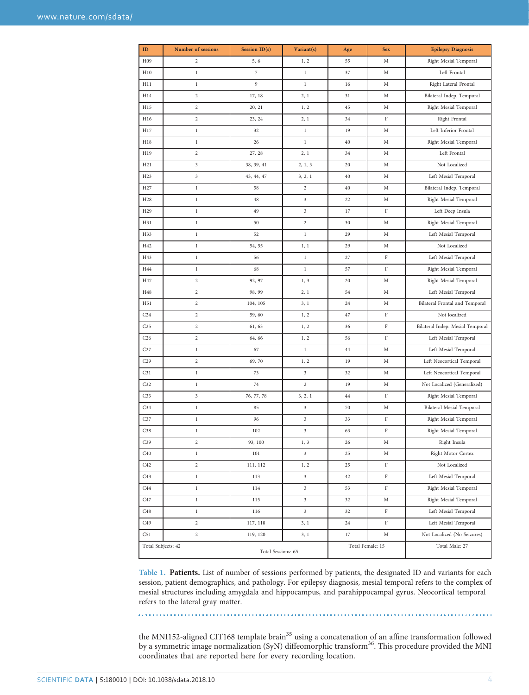<span id="page-3-0"></span>

| $\mathbf{ID}$      | Number of sessions      | Session ID(s)      | Variant(s)                | Age              | <b>Sex</b> | <b>Epilepsy Diagnosis</b>        |  |
|--------------------|-------------------------|--------------------|---------------------------|------------------|------------|----------------------------------|--|
| H <sub>09</sub>    | $\overline{c}$          | 5, 6               | 1, 2                      | 55               | M          | Right Mesial Temporal            |  |
| H10                | 1                       | 7                  | $\mathbf{1}$              | 37               | М          | Left Frontal                     |  |
| H11                | $\,1$                   | 9                  | $\,1$                     | 16               | М          | Right Lateral Frontal            |  |
| H14                | $\sqrt{2}$              | 17, 18             | 2, 1                      | 31               | M          | Bilateral Indep. Temporal        |  |
| H15                | $\sqrt{2}$              | 20, 21             | 1, 2                      | 45               | М          | Right Mesial Temporal            |  |
| H16                | $\boldsymbol{2}$        | 23, 24             | 2, 1                      | 34               | F          | Right Frontal                    |  |
| H17                | $\,1$                   | 32                 | $\,1$                     | 19               | M          | Left Inferior Frontal            |  |
| H18                | 1                       | 26                 | $\mathbf{1}$              | 40               | М          | Right Mesial Temporal            |  |
| H19                | $\sqrt{2}$              | 27, 28             | 2, 1                      | 34               | M          | Left Frontal                     |  |
| H21                | 3                       | 38, 39, 41         | 2, 1, 3                   | 20               | M          | Not Localized                    |  |
| H <sub>23</sub>    | 3                       | 43, 44, 47         | 3, 2, 1                   | 40               | М          | Left Mesial Temporal             |  |
| H <sub>27</sub>    | $\,1$                   | 58                 | $\sqrt{2}$                | 40               | M          | Bilateral Indep. Temporal        |  |
| H <sub>28</sub>    | $\,1$                   | 48                 | 3                         | 22               | M          | Right Mesial Temporal            |  |
| H <sub>29</sub>    | 1                       | 49                 | 3                         | 17               | F          | Left Deep Insula                 |  |
| H31                | $\,1$                   | 50                 | $\sqrt{2}$                | 30               | M          | Right Mesial Temporal            |  |
| H33                | $\,$ l                  | 52                 | $\,1$                     | 29               | M          | Left Mesial Temporal             |  |
| H42                | 1                       | 54, 55             | 1, 1                      | 29               | М          | Not Localized                    |  |
| H43                | $\,1$                   | 56                 | $\mathbf{1}$              | 27               | F          | Left Mesial Temporal             |  |
| H44                | $\,1$                   | 68                 | $\,1$                     | 57               | F          | Right Mesial Temporal            |  |
| H47                | 2                       | 92, 97             | 1, 3                      | 20               | M          | Right Mesial Temporal            |  |
| H48                | $\sqrt{2}$              | 98, 99             | 2, 1                      | 54               | M          | Left Mesial Temporal             |  |
| H51                | $\boldsymbol{2}$        | 104, 105           | 3, 1                      | 24               | M          | Bilateral Frontal and Temporal   |  |
| C <sub>24</sub>    | 2                       | 59, 60             | 1, 2                      | 47               | F          | Not localized                    |  |
| C <sub>25</sub>    | 2                       | 61, 63             | 1, 2                      | 36               | F          | Bilateral Indep. Mesial Temporal |  |
| C <sub>26</sub>    | $\boldsymbol{2}$        | 64, 66             | 1, 2                      | 56               | F          | Left Mesial Temporal             |  |
| C27                | 1                       | 67                 | $\mathbf{1}$              | 44               | М          | Left Mesial Temporal             |  |
| C <sub>29</sub>    | $\sqrt{2}$              | 69, 70             | 1, 2                      | 19               | М          | Left Neocortical Temporal        |  |
| C31                | $\,1$                   | 73                 | 3                         | 32               | M          | Left Neocortical Temporal        |  |
| C <sub>32</sub>    | 1                       | 74                 | $\sqrt{2}$                | 19               | М          | Not Localized (Generalized)      |  |
| C <sub>33</sub>    | 3                       | 76, 77, 78         | 3, 2, 1                   | 44               | F          | Right Mesial Temporal            |  |
| C <sub>34</sub>    | $\,1$                   | 85                 | 3                         | 70               | M          | <b>Bilateral Mesial Temporal</b> |  |
| C <sub>37</sub>    | 1                       | 96                 | 3                         | 33               | F          | Right Mesial Temporal            |  |
| C38                | $\,$ $\,$               | 102                | $\ensuremath{\mathbf{3}}$ | 63               | $\rm F$    | Right Mesial Temporal            |  |
| C <sub>39</sub>    | $\overline{\mathbf{c}}$ | 93, 100            | 1, 3                      | 26               | М          | Right Insula                     |  |
| C40                | 1                       | 101                | 3                         | 25               | М          | Right Motor Cortex               |  |
| C <sub>42</sub>    | $\boldsymbol{2}$        | 111, 112           | 1, 2                      | 25               | F          | Not Localized                    |  |
| C <sub>43</sub>    | $\,1$                   | 113                | 3                         | 42               | F          | Left Mesial Temporal             |  |
| C <sub>44</sub>    | 1                       | 114                | 3                         | 53               | F          | Right Mesial Temporal            |  |
| C47                | $\,$ $\,$               | 115                | 3                         | 32               | М          | Right Mesial Temporal            |  |
| C48                | $\,1$                   | 116                | 3                         | 32               | F          | Left Mesial Temporal             |  |
| C <sub>49</sub>    | $\boldsymbol{2}$        | 117, 118           | 3, 1                      | 24               | F          | Left Mesial Temporal             |  |
| C51                | $\boldsymbol{2}$        | 119, 120           | 3, 1                      | 17               | M          | Not Localized (No Seizures)      |  |
| Total Subjects: 42 |                         | Total Sessions: 65 |                           | Total Female: 15 |            | Total Male: 27                   |  |

Table 1. Patients. List of number of sessions performed by patients, the designated ID and variants for each session, patient demographics, and pathology. For epilepsy diagnosis, mesial temporal refers to the complex of mesial structures including amygdala and hippocampus, and parahippocampal gyrus. Neocortical temporal refers to the lateral gray matter.

the MNI152-aligned CIT168 template brain<sup>[35](#page-10-0)</sup> using a concatenation of an affine transformation followed by a symmetric image normalization (SyN) diffeomorphic transform<sup>[36](#page-10-0)</sup>. This procedure provided the MNI coordinates that are reported here for every recording location.

 $\ldots$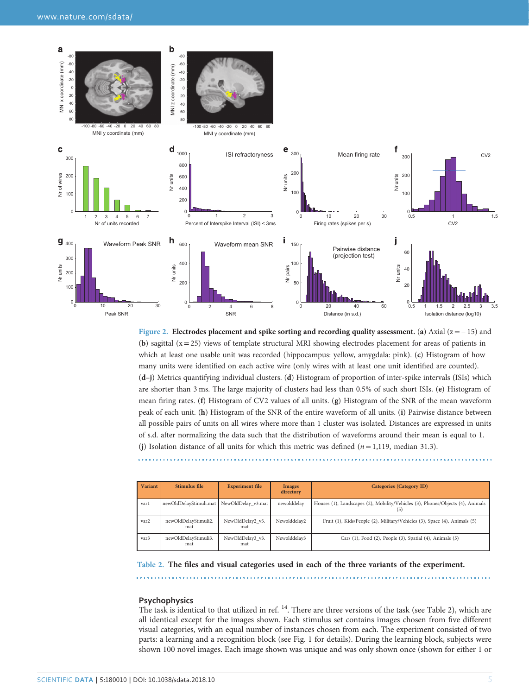<span id="page-4-0"></span>

Figure 2. Electrodes placement and spike sorting and recording quality assessment. (a) Axial ( $z = -15$ ) and (b) sagittal  $(x=25)$  views of template structural MRI showing electrodes placement for areas of patients in which at least one usable unit was recorded (hippocampus: yellow, amygdala: pink). (c) Histogram of how many units were identified on each active wire (only wires with at least one unit identified are counted). (d–j) Metrics quantifying individual clusters. (d) Histogram of proportion of inter-spike intervals (ISIs) which are shorter than 3 ms. The large majority of clusters had less than 0.5% of such short ISIs. (e) Histogram of mean firing rates. (f) Histogram of CV2 values of all units. (g) Histogram of the SNR of the mean waveform peak of each unit. (h) Histogram of the SNR of the entire waveform of all units. (i) Pairwise distance between all possible pairs of units on all wires where more than 1 cluster was isolated. Distances are expressed in units of s.d. after normalizing the data such that the distribution of waveforms around their mean is equal to 1. (j) Isolation distance of all units for which this metric was defined  $(n=1,119, \text{ median } 31.3)$ .

| <b>Variant</b> | Stimulus file               | <b>Experiment file</b>  | <b>Images</b><br>directory | Categories (Category ID)                                                              |
|----------------|-----------------------------|-------------------------|----------------------------|---------------------------------------------------------------------------------------|
| varl           | newOldDelayStimuli.mat      | NewOldDelay v3.mat      | newolddelav                | Houses (1), Landscapes (2), Mobility/Vehicles (3), Phones/Objects (4), Animals<br>(5) |
| var2           | newOldDelayStimuli2.<br>mat | NewOldDelay2 v3.<br>mat | Newolddelay2               | Fruit (1), Kids/People (2), Military/Vehicles (3), Space (4), Animals (5)             |
| var3           | newOldDelayStimuli3.<br>mat | NewOldDelay3 v3.<br>mat | Newolddelay3               | Cars (1), Food (2), People (3), Spatial (4), Animals (5)                              |

Table 2. The files and visual categories used in each of the three variants of the experiment.

#### **Psychophysics**

The task is identical to that utilized in ref.  $^{14}$ . There are three versions of the task (see Table 2), which are all identical except for the images shown. Each stimulus set contains images chosen from five different visual categories, with an equal number of instances chosen from each. The experiment consisted of two parts: a learning and a recognition block (see [Fig. 1](#page-2-0) for details). During the learning block, subjects were shown 100 novel images. Each image shown was unique and was only shown once (shown for either 1 or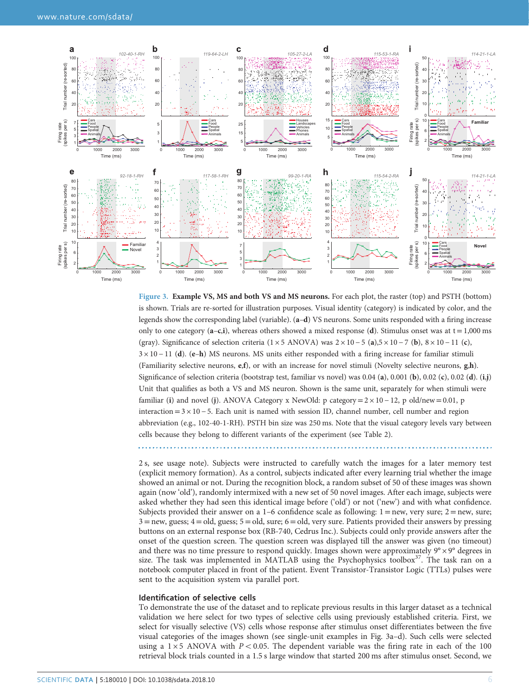<span id="page-5-0"></span>

Figure 3. Example VS, MS and both VS and MS neurons. For each plot, the raster (top) and PSTH (bottom) is shown. Trials are re-sorted for illustration purposes. Visual identity (category) is indicated by color, and the legends show the corresponding label (variable). (a–d) VS neurons. Some units responded with a firing increase only to one category  $(a-c,i)$ , whereas others showed a mixed response (d). Stimulus onset was at  $t = 1,000$  ms (gray). Significance of selection criteria (1 × 5 ANOVA) was  $2 \times 10 - 5$  (a),5 × 10 − 7 (b),  $8 \times 10 - 11$  (c), 3 × 10 − 11 (d). (e–h) MS neurons. MS units either responded with a firing increase for familiar stimuli (Familiarity selective neurons, e,f), or with an increase for novel stimuli (Novelty selective neurons, g,h). Significance of selection criteria (bootstrap test, familiar vs novel) was  $0.04$  (a),  $0.001$  (b),  $0.02$  (c),  $0.02$  (d). (i,j) Unit that qualifies as both a VS and MS neuron. Shown is the same unit, separately for when stimuli were familiar (i) and novel (j). ANOVA Category x NewOld: p category =  $2 \times 10 - 12$ , p old/new = 0.01, p interaction =  $3 \times 10 - 5$ . Each unit is named with session ID, channel number, cell number and region abbreviation (e.g., 102-40-1-RH). PSTH bin size was 250 ms. Note that the visual category levels vary between cells because they belong to different variants of the experiment (see [Table 2](#page-4-0)).

2 s, see usage note). Subjects were instructed to carefully watch the images for a later memory test (explicit memory formation). As a control, subjects indicated after every learning trial whether the image showed an animal or not. During the recognition block, a random subset of 50 of these images was shown again (now 'old'), randomly intermixed with a new set of 50 novel images. After each image, subjects were asked whether they had seen this identical image before ('old') or not ('new') and with what confidence. Subjects provided their answer on a 1–6 confidence scale as following:  $1 = new$ , very sure;  $2 = new$ , sure;  $3 =$ new, guess;  $4 =$ old, guess;  $5 =$ old, sure;  $6 =$ old, very sure. Patients provided their answers by pressing buttons on an external response box (RB-740, Cedrus Inc.). Subjects could only provide answers after the onset of the question screen. The question screen was displayed till the answer was given (no timeout) and there was no time pressure to respond quickly. Images shown were approximately  $9^\circ \times 9^\circ$  degrees in size. The task was implemented in MATLAB using the Psychophysics toolbox $37$ . The task ran on a notebook computer placed in front of the patient. Event Transistor-Transistor Logic (TTLs) pulses were sent to the acquisition system via parallel port.

#### Identification of selective cells

To demonstrate the use of the dataset and to replicate previous results in this larger dataset as a technical validation we here select for two types of selective cells using previously established criteria. First, we select for visually selective (VS) cells whose response after stimulus onset differentiates between the five visual categories of the images shown (see single-unit examples in Fig. 3a–d). Such cells were selected using a  $1 \times 5$  ANOVA with  $P < 0.05$ . The dependent variable was the firing rate in each of the 100 retrieval block trials counted in a 1.5 s large window that started 200 ms after stimulus onset. Second, we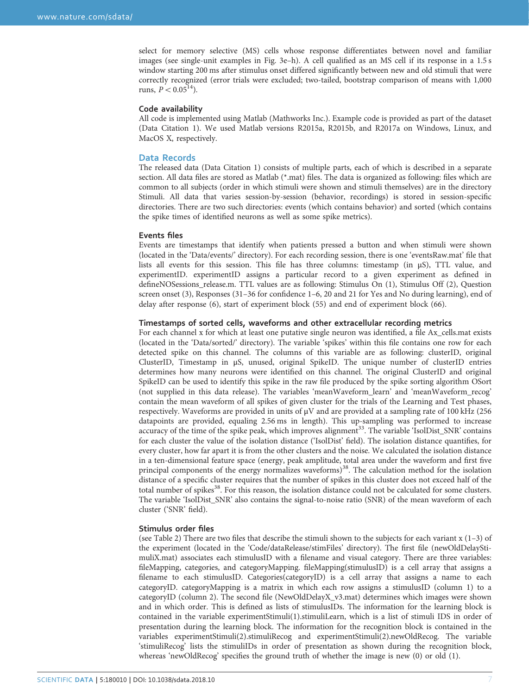select for memory selective (MS) cells whose response differentiates between novel and familiar images (see single-unit examples in [Fig. 3e](#page-5-0)–h). A cell qualified as an MS cell if its response in a 1.5 s window starting 200 ms after stimulus onset differed significantly between new and old stimuli that were correctly recognized (error trials were excluded; two-tailed, bootstrap comparison of means with 1,000 runs,  $P < 0.05^{14}$ ).

#### Code availability

All code is implemented using Matlab (Mathworks Inc.). Example code is provided as part of the dataset [\(Data Citation 1](#page-10-0)). We used Matlab versions R2015a, R2015b, and R2017a on Windows, Linux, and MacOS X, respectively.

### Data Records

The released data [\(Data Citation 1](#page-10-0)) consists of multiple parts, each of which is described in a separate section. All data files are stored as Matlab (\*.mat) files. The data is organized as following: files which are common to all subjects (order in which stimuli were shown and stimuli themselves) are in the directory Stimuli. All data that varies session-by-session (behavior, recordings) is stored in session-specific directories. There are two such directories: events (which contains behavior) and sorted (which contains the spike times of identified neurons as well as some spike metrics).

#### Events files

Events are timestamps that identify when patients pressed a button and when stimuli were shown (located in the 'Data/events/' directory). For each recording session, there is one 'eventsRaw.mat' file that lists all events for this session. This file has three columns: timestamp (in μS), TTL value, and experimentID. experimentID assigns a particular record to a given experiment as defined in defineNOSessions\_release.m. TTL values are as following: Stimulus On (1), Stimulus Off (2), Question screen onset (3), Responses (31–36 for confidence 1–6, 20 and 21 for Yes and No during learning), end of delay after response (6), start of experiment block (55) and end of experiment block (66).

#### Timestamps of sorted cells, waveforms and other extracellular recording metrics

For each channel x for which at least one putative single neuron was identified, a file Ax\_cells.mat exists (located in the 'Data/sorted/' directory). The variable 'spikes' within this file contains one row for each detected spike on this channel. The columns of this variable are as following: clusterID, original ClusterID, Timestamp in μS, unused, original SpikeID. The unique number of clusterID entries determines how many neurons were identified on this channel. The original ClusterID and original SpikeID can be used to identify this spike in the raw file produced by the spike sorting algorithm OSort (not supplied in this data release). The variables 'meanWaveform\_learn' and 'meanWaveform\_recog' contain the mean waveform of all spikes of given cluster for the trials of the Learning and Test phases, respectively. Waveforms are provided in units of μV and are provided at a sampling rate of 100 kHz (256 datapoints are provided, equaling 2.56 ms in length). This up-sampling was performed to increase accuracy of the time of the spike peak, which improves alignment<sup>[33](#page-10-0)</sup>. The variable 'IsolDist\_SNR' contains for each cluster the value of the isolation distance ('IsolDist' field). The isolation distance quantifies, for every cluster, how far apart it is from the other clusters and the noise. We calculated the isolation distance in a ten-dimensional feature space (energy, peak amplitude, total area under the waveform and first five principal components of the energy normalizes waveforms)<sup>38</sup>. The calculation method for the isolation distance of a specific cluster requires that the number of spikes in this cluster does not exceed half of the total number of spikes<sup>38</sup>. For this reason, the isolation distance could not be calculated for some clusters. The variable 'IsolDist\_SNR' also contains the signal-to-noise ratio (SNR) of the mean waveform of each cluster ('SNR' field).

#### Stimulus order files

(see [Table 2](#page-4-0)) There are two files that describe the stimuli shown to the subjects for each variant  $x(1-3)$  of the experiment (located in the 'Code/dataRelease/stimFiles' directory). The first file (newOldDelayStimuliX.mat) associates each stimulusID with a filename and visual category. There are three variables: fileMapping, categories, and categoryMapping. fileMapping(stimulusID) is a cell array that assigns a filename to each stimulusID. Categories(categoryID) is a cell array that assigns a name to each categoryID. categoryMapping is a matrix in which each row assigns a stimulusID (column 1) to a categoryID (column 2). The second file (NewOldDelayX\_v3.mat) determines which images were shown and in which order. This is defined as lists of stimulusIDs. The information for the learning block is contained in the variable experimentStimuli(1).stimuliLearn, which is a list of stimuli IDS in order of presentation during the learning block. The information for the recognition block is contained in the variables experimentStimuli(2).stimuliRecog and experimentStimuli(2).newOldRecog. The variable 'stimuliRecog' lists the stimuliIDs in order of presentation as shown during the recognition block, whereas 'newOldRecog' specifies the ground truth of whether the image is new (0) or old (1).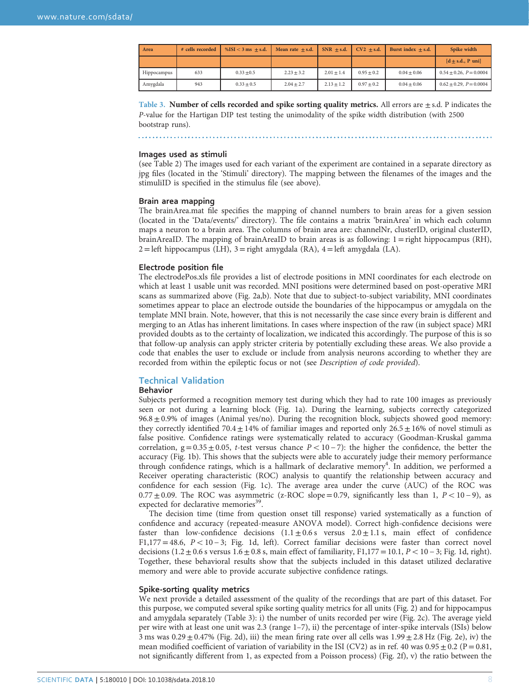<span id="page-7-0"></span>

| Area        | # cells recorded | $\%$ ISI < 3 ms + s.d. | Mean rate $+ s.d.$ | $SNR + s.d.$ | $CV2 + s.d.$ | Burst index $+ s.d.$ | Spike width                    |
|-------------|------------------|------------------------|--------------------|--------------|--------------|----------------------|--------------------------------|
|             |                  |                        |                    |              |              |                      | $[d + s.d., P \text{ uni}]$    |
| Hippocampus | 633              | $0.33 \pm 0.5$         | $2.23 + 3.2$       | $2.01 + 1.4$ | $0.95 + 0.2$ | $0.04 + 0.06$        | $0.54 \pm 0.26$ , $P = 0.0004$ |
| Amygdala    | 943              | $0.33 \pm 0.5$         | $2.04 + 2.7$       | $2.13 + 1.2$ | $0.97 + 0.2$ | $0.04 + 0.06$        | $0.62 \pm 0.29$ , $P = 0.0004$ |

Table 3. Number of cells recorded and spike sorting quality metrics. All errors are  $\pm$  s.d. P indicates the P-value for the Hartigan DIP test testing the unimodality of the spike width distribution (with 2500 bootstrap runs).

#### Images used as stimuli

(see [Table 2](#page-4-0)) The images used for each variant of the experiment are contained in a separate directory as jpg files (located in the 'Stimuli' directory). The mapping between the filenames of the images and the stimuliID is specified in the stimulus file (see above).

#### Brain area mapping

The brainArea.mat file specifies the mapping of channel numbers to brain areas for a given session (located in the 'Data/events/' directory). The file contains a matrix 'brainArea' in which each column maps a neuron to a brain area. The columns of brain area are: channelNr, clusterID, original clusterID, brainAreaID. The mapping of brainAreaID to brain areas is as following: 1=right hippocampus (RH),  $2 = left$  hippocampus (LH),  $3 = right$  amygdala (RA),  $4 = left$  amygdala (LA).

#### Electrode position file

The electrodePos.xls file provides a list of electrode positions in MNI coordinates for each electrode on which at least 1 usable unit was recorded. MNI positions were determined based on post-operative MRI scans as summarized above ([Fig. 2a,b](#page-4-0)). Note that due to subject-to-subject variability, MNI coordinates sometimes appear to place an electrode outside the boundaries of the hippocampus or amygdala on the template MNI brain. Note, however, that this is not necessarily the case since every brain is different and merging to an Atlas has inherent limitations. In cases where inspection of the raw (in subject space) MRI provided doubts as to the certainty of localization, we indicated this accordingly. The purpose of this is so that follow-up analysis can apply stricter criteria by potentially excluding these areas. We also provide a code that enables the user to exclude or include from analysis neurons according to whether they are recorded from within the epileptic focus or not (see Description of code provided).

#### Technical Validation

#### Behavior

Subjects performed a recognition memory test during which they had to rate 100 images as previously seen or not during a learning block ([Fig. 1a](#page-2-0)). During the learning, subjects correctly categorized  $96.8 \pm 0.9\%$  of images (Animal yes/no). During the recognition block, subjects showed good memory: they correctly identified 70.4  $\pm$  14% of familiar images and reported only 26.5  $\pm$  16% of novel stimuli as false positive. Confidence ratings were systematically related to accuracy (Goodman-Kruskal gamma correlation,  $g = 0.35 \pm 0.05$ , t-test versus chance  $P < 10 - 7$ ): the higher the confidence, the better the accuracy ([Fig. 1b\)](#page-2-0). This shows that the subjects were able to accurately judge their memory performance through confidence ratings, which is a hallmark of declarative memory<sup>[4](#page-9-0)</sup>. In addition, we performed a Receiver operating characteristic (ROC) analysis to quantify the relationship between accuracy and confidence for each session ([Fig. 1c\)](#page-2-0). The average area under the curve (AUC) of the ROC was  $0.77 \pm 0.09$ . The ROC was asymmetric (z-ROC slope=0.79, significantly less than 1,  $P < 10 - 9$ ), as expected for declarative memories<sup>39</sup>.

The decision time (time from question onset till response) varied systematically as a function of confidence and accuracy (repeated-measure ANOVA model). Correct high-confidence decisions were faster than low-confidence decisions  $(1.1 \pm 0.6 \text{ s}$  versus  $2.0 \pm 1.1 \text{ s}$ , main effect of confidence F1,177 = 48.6,  $P < 10 - 3$ ; [Fig. 1d](#page-2-0), left). Correct familiar decisions were faster than correct novel decisions  $(1.2 \pm 0.6 \text{ s}$  versus  $1.6 \pm 0.8 \text{ s}$ , main effect of familiarity, F1,177 = 10.1, P < 10 − 3; [Fig. 1d](#page-2-0), right). Together, these behavioral results show that the subjects included in this dataset utilized declarative memory and were able to provide accurate subjective confidence ratings.

#### Spike-sorting quality metrics

We next provide a detailed assessment of the quality of the recordings that are part of this dataset. For this purpose, we computed several spike sorting quality metrics for all units [\(Fig. 2\)](#page-4-0) and for hippocampus and amygdala separately (Table 3): i) the number of units recorded per wire [\(Fig. 2c\)](#page-4-0). The average yield per wire with at least one unit was 2.3 (range 1–7), ii) the percentage of inter-spike intervals (ISIs) below 3 ms was  $0.29 \pm 0.47\%$  [\(Fig. 2d](#page-4-0)), iii) the mean firing rate over all cells was  $1.99 \pm 2.8$  Hz ([Fig. 2e\)](#page-4-0), iv) the mean modified coefficient of variation of variability in the ISI (CV2) as in ref. [40](#page-10-0) was  $0.95 \pm 0.2$  (P = 0.81, not significantly different from 1, as expected from a Poisson process) [\(Fig. 2f](#page-4-0)), v) the ratio between the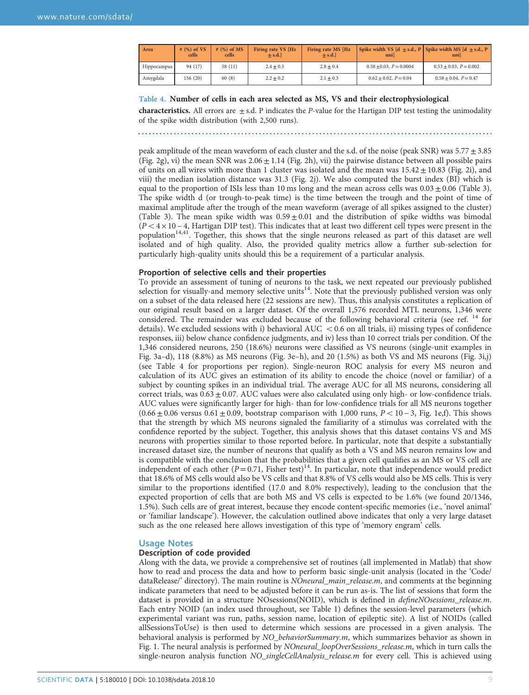| Area        | $#$ (%) of VS<br>cells | $#$ (%) of MS<br>cells | Firing rate VS [Hz<br>$+ s.d.$ | Firing rate MS [Hz<br>$+ s.d.$ | Spike width VS $\left[ d + s.d., P \right]$ Spike width MS $\left[ d + s.d., P \right]$<br>unil | unil                          |
|-------------|------------------------|------------------------|--------------------------------|--------------------------------|-------------------------------------------------------------------------------------------------|-------------------------------|
| Hippocampus | 94 (17)                | 58 (11)                | $2.4 + 0.3$                    | $2.8 + 0.4$                    | $0.58 + 0.03$ , $P = 0.0004$                                                                    | $0.53 \pm 0.03$ , $P = 0.002$ |
| Amygdala    | 156 (20)               | 60(8)                  | $2.2 + 0.2$                    | $2.1 + 0.3$                    | $0.62 \pm 0.02$ , $P = 0.04$                                                                    | $0.58 + 0.04$ , $P = 0.47$    |

#### Table 4. Number of cells in each area selected as MS, VS and their electrophysiological

**characteristics.** All errors are  $\pm$  s.d. P indicates the P-value for the Hartigan DIP test testing the unimodality of the spike width distribution (with 2,500 runs).

peak amplitude of the mean waveform of each cluster and the s.d. of the noise (peak SNR) was 5.77±3.85 [\(Fig. 2g\)](#page-4-0), vi) the mean SNR was  $2.06 \pm 1.14$  ([Fig. 2h\)](#page-4-0), vii) the pairwise distance between all possible pairs of units on all wires with more than 1 cluster was isolated and the mean was  $15.42 \pm 10.83$  ([Fig. 2i](#page-4-0)), and viii) the median isolation distance was 31.3 [\(Fig. 2j](#page-4-0)). We also computed the burst index (BI) which is equal to the proportion of ISIs less than 10 ms long and the mean across cells was  $0.03 \pm 0.06$  ([Table 3](#page-7-0)). The spike width d (or trough-to-peak time) is the time between the trough and the point of time of maximal amplitude after the trough of the mean waveform (average of all spikes assigned to the cluster) [\(Table 3](#page-7-0)). The mean spike width was  $0.59 \pm 0.01$  and the distribution of spike widths was bimodal  $(P < 4 \times 10 - 4$ , Hartigan DIP test). This indicates that at least two different cell types were present in the population<sup>14,41</sup>. Together, this shows that the single neurons released as part of this dataset are well isolated and of high quality. Also, the provided quality metrics allow a further sub-selection for particularly high-quality units should this be a requirement of a particular analysis.

#### Proportion of selective cells and their properties

To provide an assessment of tuning of neurons to the task, we next repeated our previously published selection for visually-and memory selective units<sup>[14](#page-9-0)</sup>. Note that the previously published version was only on a subset of the data released here (22 sessions are new). Thus, this analysis constitutes a replication of our original result based on a larger dataset. Of the overall 1,576 recorded MTL neurons, 1,346 were considered. The remainder was excluded because of the following behavioral criteria (see ref. <sup>[14](#page-9-0)</sup> for details). We excluded sessions with i) behavioral  $AUC < 0.6$  on all trials, ii) missing types of confidence responses, iii) below chance confidence judgments, and iv) less than 10 correct trials per condition. Of the 1,346 considered neurons, 250 (18.6%) neurons were classified as VS neurons (single-unit examples in [Fig. 3a](#page-5-0)–d), 118 (8.8%) as MS neurons [\(Fig. 3e](#page-5-0)–h), and 20 (1.5%) as both VS and MS neurons [\(Fig. 3i,j](#page-5-0)) (see Table 4 for proportions per region). Single-neuron ROC analysis for every MS neuron and calculation of its AUC gives an estimation of its ability to encode the choice (novel or familiar) of a subject by counting spikes in an individual trial. The average AUC for all MS neurons, considering all correct trials, was  $0.63 \pm 0.07$ . AUC values were also calculated using only high- or low-confidence trials. AUC values were significantly larger for high- than for low-confidence trials for all MS neurons together  $(0.66 \pm 0.06$  versus  $0.61 \pm 0.09$ , bootstrap comparison with 1,000 runs,  $P < 10 - 3$ , [Fig. 1e,f](#page-2-0)). This shows that the strength by which MS neurons signaled the familiarity of a stimulus was correlated with the confidence reported by the subject. Together, this analysis shows that this dataset contains VS and MS neurons with properties similar to those reported before. In particular, note that despite a substantially increased dataset size, the number of neurons that qualify as both a VS and MS neuron remains low and is compatible with the conclusion that the probabilities that a given cell qualifies as an MS or VS cell are independent of each other  $(P=0.71$ , Fisher test)<sup>14</sup>. In particular, note that independence would predict that 18.6% of MS cells would also be VS cells and that 8.8% of VS cells would also be MS cells. This is very similar to the proportions identified (17.0 and 8.0% respectively), leading to the conclusion that the expected proportion of cells that are both MS and VS cells is expected to be 1.6% (we found 20/1346, 1.5%). Such cells are of great interest, because they encode content-specific memories (i.e., 'novel animal' or 'familiar landscape'). However, the calculation outlined above indicates that only a very large dataset such as the one released here allows investigation of this type of 'memory engram' cells.

#### Usage Notes

#### Description of code provided

Along with the data, we provide a comprehensive set of routines (all implemented in Matlab) that show how to read and process the data and how to perform basic single-unit analysis (located in the 'Code/ dataRelease/' directory). The main routine is *NOneural main release.m*, and comments at the beginning indicate parameters that need to be adjusted before it can be run as-is. The list of sessions that form the dataset is provided in a structure NOsessions(NOID), which is defined in *defineNOsessions* release.m. Each entry NOID (an index used throughout, see [Table 1](#page-3-0)) defines the session-level parameters (which experimental variant was run, paths, session name, location of epileptic site). A list of NOIDs (called allSessionsToUse) is then used to determine which sessions are processed in a given analysis. The behavioral analysis is performed by NO\_behaviorSummary.m, which summarizes behavior as shown in [Fig. 1](#page-2-0). The neural analysis is performed by NOneural\_loopOverSessions\_release.m, which in turn calls the single-neuron analysis function NO singleCellAnalysis release.m for every cell. This is achieved using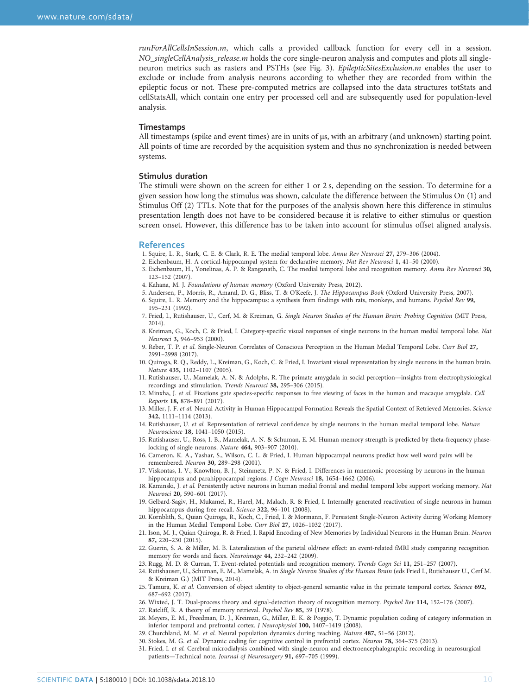<span id="page-9-0"></span>runForAllCellsInSession.m, which calls a provided callback function for every cell in a session. NO\_singleCellAnalysis\_release.m holds the core single-neuron analysis and computes and plots all singleneuron metrics such as rasters and PSTHs (see [Fig. 3](#page-5-0)). EpilepticSitesExclusion.m enables the user to exclude or include from analysis neurons according to whether they are recorded from within the epileptic focus or not. These pre-computed metrics are collapsed into the data structures totStats and cellStatsAll, which contain one entry per processed cell and are subsequently used for population-level analysis.

#### **Timestamps**

All timestamps (spike and event times) are in units of μs, with an arbitrary (and unknown) starting point. All points of time are recorded by the acquisition system and thus no synchronization is needed between systems.

#### Stimulus duration

The stimuli were shown on the screen for either 1 or 2 s, depending on the session. To determine for a given session how long the stimulus was shown, calculate the difference between the Stimulus On (1) and Stimulus Off (2) TTLs. Note that for the purposes of the analysis shown here this difference in stimulus presentation length does not have to be considered because it is relative to either stimulus or question screen onset. However, this difference has to be taken into account for stimulus offset aligned analysis.

#### References

- 1. Squire, L. R., Stark, C. E. & Clark, R. E. The medial temporal lobe. Annu Rev Neurosci 27, 279–306 (2004).
- 2. Eichenbaum, H. A cortical-hippocampal system for declarative memory. Nat Rev Neurosci 1, 41–50 (2000).
- 3. Eichenbaum, H., Yonelinas, A. P. & Ranganath, C. The medial temporal lobe and recognition memory. Annu Rev Neurosci 30, 123–152 (2007).
- 4. Kahana, M. J. Foundations of human memory (Oxford University Press, 2012).
- 5. Andersen, P., Morris, R., Amaral, D. G., Bliss, T. & O'Keefe, J. The Hippocampus Book (Oxford University Press, 2007).
- 6. Squire, L. R. Memory and the hippocampus: a synthesis from findings with rats, monkeys, and humans. Psychol Rev 99, 195–231 (1992).
- 7. Fried, I., Rutishauser, U., Cerf, M. & Kreiman, G. Single Neuron Studies of the Human Brain: Probing Cognition (MIT Press, 2014).
- 8. Kreiman, G., Koch, C. & Fried, I. Category-specific visual responses of single neurons in the human medial temporal lobe. Nat Neurosci 3, 946–953 (2000).
- 9. Reber, T. P. et al. Single-Neuron Correlates of Conscious Perception in the Human Medial Temporal Lobe. Curr Biol 27, 2991–2998 (2017).
- 10. Quiroga, R. Q., Reddy, L., Kreiman, G., Koch, C. & Fried, I. Invariant visual representation by single neurons in the human brain. Nature 435, 1102–1107 (2005).
- 11. Rutishauser, U., Mamelak, A. N. & Adolphs, R. The primate amygdala in social perception—insights from electrophysiological recordings and stimulation. Trends Neurosci 38, 295–306 (2015).
- 12. Minxha, J. et al. Fixations gate species-specific responses to free viewing of faces in the human and macaque amygdala. Cell Reports 18, 878–891 (2017).
- 13. Miller, J. F. et al. Neural Activity in Human Hippocampal Formation Reveals the Spatial Context of Retrieved Memories. Science 342, 1111–1114 (2013).
- 14. Rutishauser, U. et al. Representation of retrieval confidence by single neurons in the human medial temporal lobe. Nature Neuroscience 18, 1041–1050 (2015).
- 15. Rutishauser, U., Ross, I. B., Mamelak, A. N. & Schuman, E. M. Human memory strength is predicted by theta-frequency phaselocking of single neurons. Nature 464, 903–907 (2010).
- 16. Cameron, K. A., Yashar, S., Wilson, C. L. & Fried, I. Human hippocampal neurons predict how well word pairs will be remembered. Neuron 30, 289–298 (2001).
- 17. Viskontas, I. V., Knowlton, B. J., Steinmetz, P. N. & Fried, I. Differences in mnemonic processing by neurons in the human hippocampus and parahippocampal regions. J Cogn Neurosci 18, 1654-1662 (2006).
- 18. Kaminski, J. et al. Persistently active neurons in human medial frontal and medial temporal lobe support working memory. Nat Neurosci 20, 590–601 (2017).
- 19. Gelbard-Sagiv, H., Mukamel, R., Harel, M., Malach, R. & Fried, I. Internally generated reactivation of single neurons in human hippocampus during free recall. Science 322, 96-101 (2008).
- 20. Kornblith, S., Quian Quiroga, R., Koch, C., Fried, I. & Mormann, F. Persistent Single-Neuron Activity during Working Memory in the Human Medial Temporal Lobe. Curr Biol 27, 1026–1032 (2017).
- 21. Ison, M. J., Quian Quiroga, R. & Fried, I. Rapid Encoding of New Memories by Individual Neurons in the Human Brain. Neuron 87, 220–230 (2015).
- 22. Guerin, S. A. & Miller, M. B. Lateralization of the parietal old/new effect: an event-related fMRI study comparing recognition memory for words and faces. Neuroimage 44, 232–242 (2009).
- 23. Rugg, M. D. & Curran, T. Event-related potentials and recognition memory. Trends Cogn Sci 11, 251–257 (2007).
- 24. Rutishauser, U., Schuman, E. M., Mamelak, A. in Single Neuron Studies of the Human Brain (eds Fried I., Rutishauser U., Cerf M. & Kreiman G.) (MIT Press, 2014).
- 25. Tamura, K. et al. Conversion of object identity to object-general semantic value in the primate temporal cortex. Science 692, 687–692 (2017).
- 26. Wixted, J. T. Dual-process theory and signal-detection theory of recognition memory. Psychol Rev 114, 152–176 (2007).
- 27. Ratcliff, R. A theory of memory retrieval. Psychol Rev 85, 59 (1978).
- 28. Meyers, E. M., Freedman, D. J., Kreiman, G., Miller, E. K. & Poggio, T. Dynamic population coding of category information in inferior temporal and prefrontal cortex. J Neurophysiol 100, 1407–1419 (2008).
- 29. Churchland, M. M. et al. Neural population dynamics during reaching. Nature 487, 51–56 (2012).
- 30. Stokes, M. G. et al. Dynamic coding for cognitive control in prefrontal cortex. Neuron 78, 364–375 (2013).
- 31. Fried, I. et al. Cerebral microdialysis combined with single-neuron and electroencephalographic recording in neurosurgical patients—Technical note. Journal of Neurosurgery 91, 697–705 (1999).